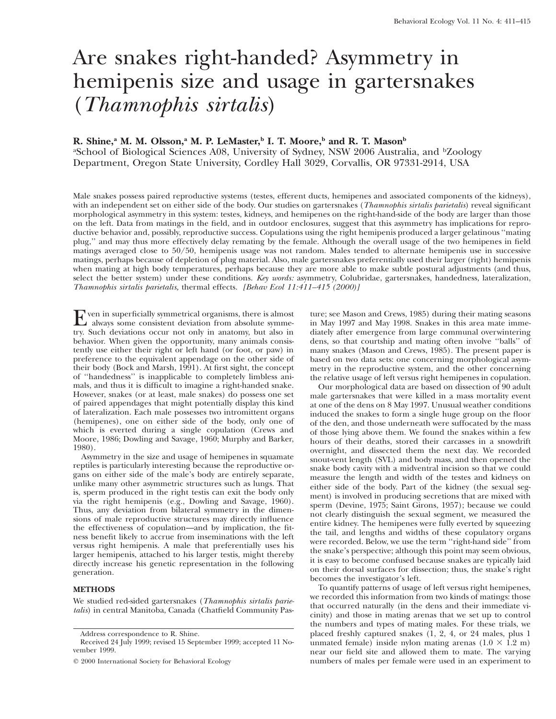# Are snakes right-handed? Asymmetry in hemipenis size and usage in gartersnakes (*Thamnophis sirtalis*)

## **R.** Shine,<sup>a</sup> M. M. Olsson,<sup>a</sup> M. P. LeMaster,<sup>b</sup> I. T. Moore,<sup>b</sup> and R. T. Mason<sup>b</sup>

<sup>a</sup>School of Biological Sciences A08, University of Sydney, NSW 2006 Australia, and <sup>b</sup>Zoology Department, Oregon State University, Cordley Hall 3029, Corvallis, OR 97331-2914, USA

Male snakes possess paired reproductive systems (testes, efferent ducts, hemipenes and associated components of the kidneys), with an independent set on either side of the body. Our studies on gartersnakes (*Thamnophis sirtalis parietalis*) reveal significant morphological asymmetry in this system: testes, kidneys, and hemipenes on the right-hand-side of the body are larger than those on the left. Data from matings in the field, and in outdoor enclosures, suggest that this asymmetry has implications for reproductive behavior and, possibly, reproductive success. Copulations using the right hemipenis produced a larger gelatinous ''mating plug,'' and may thus more effectively delay remating by the female. Although the overall usage of the two hemipenes in field matings averaged close to 50/50, hemipenis usage was not random. Males tended to alternate hemipenis use in successive matings, perhaps because of depletion of plug material. Also, male gartersnakes preferentially used their larger (right) hemipenis when mating at high body temperatures, perhaps because they are more able to make subtle postural adjustments (and thus, select the better system) under these conditions. *Key words:* asymmetry, Colubridae, gartersnakes, handedness, lateralization, *Thamnophis sirtalis parietalis,* thermal effects. *[Behav Ecol 11:411–415 (2000)]*

Even in superficially symmetrical organisms, there is almost always some consistent deviation from absolute symmetry. Such deviations occur not only in anatomy, but also in behavior. When given the opportunity, many animals consistently use either their right or left hand (or foot, or paw) in preference to the equivalent appendage on the other side of their body (Bock and Marsh, 1991). At first sight, the concept of ''handedness'' is inapplicable to completely limbless animals, and thus it is difficult to imagine a right-handed snake. However, snakes (or at least, male snakes) do possess one set of paired appendages that might potentially display this kind of lateralization. Each male possesses two intromittent organs (hemipenes), one on either side of the body, only one of which is everted during a single copulation (Crews and Moore, 1986; Dowling and Savage, 1960; Murphy and Barker, 1980).

Asymmetry in the size and usage of hemipenes in squamate reptiles is particularly interesting because the reproductive organs on either side of the male's body are entirely separate, unlike many other asymmetric structures such as lungs. That is, sperm produced in the right testis can exit the body only via the right hemipenis (e.g., Dowling and Savage, 1960). Thus, any deviation from bilateral symmetry in the dimensions of male reproductive structures may directly influence the effectiveness of copulation—and by implication, the fitness benefit likely to accrue from inseminations with the left versus right hemipenis. A male that preferentially uses his larger hemipenis, attached to his larger testis, might thereby directly increase his genetic representation in the following generation.

## **METHODS**

We studied red-sided gartersnakes (*Thamnophis sirtalis parietalis*) in central Manitoba, Canada (Chatfield Community Pasture; see Mason and Crews, 1985) during their mating seasons in May 1997 and May 1998. Snakes in this area mate immediately after emergence from large communal overwintering dens, so that courtship and mating often involve ''balls'' of many snakes (Mason and Crews, 1985). The present paper is based on two data sets: one concerning morphological asymmetry in the reproductive system, and the other concerning the relative usage of left versus right hemipenes in copulation.

Our morphological data are based on dissection of 90 adult male gartersnakes that were killed in a mass mortality event at one of the dens on 8 May 1997. Unusual weather conditions induced the snakes to form a single huge group on the floor of the den, and those underneath were suffocated by the mass of those lying above them. We found the snakes within a few hours of their deaths, stored their carcasses in a snowdrift overnight, and dissected them the next day. We recorded snout-vent length (SVL) and body mass, and then opened the snake body cavity with a midventral incision so that we could measure the length and width of the testes and kidneys on either side of the body. Part of the kidney (the sexual segment) is involved in producing secretions that are mixed with sperm (Devine, 1975; Saint Girons, 1957); because we could not clearly distinguish the sexual segment, we measured the entire kidney. The hemipenes were fully everted by squeezing the tail, and lengths and widths of these copulatory organs were recorded. Below, we use the term ''right-hand side'' from the snake's perspective; although this point may seem obvious, it is easy to become confused because snakes are typically laid on their dorsal surfaces for dissection; thus, the snake's right becomes the investigator's left.

To quantify patterns of usage of left versus right hemipenes, we recorded this information from two kinds of matings: those that occurred naturally (in the dens and their immediate vicinity) and those in mating arenas that we set up to control the numbers and types of mating males. For these trials, we placed freshly captured snakes (1, 2, 4, or 24 males, plus 1 unmated female) inside nylon mating arenas  $(1.0 \times 1.2 \text{ m})$ near our field site and allowed them to mate. The varying numbers of males per female were used in an experiment to

Address correspondence to R. Shine.

Received 24 July 1999; revised 15 September 1999; accepted 11 November 1999.

2000 International Society for Behavioral Ecology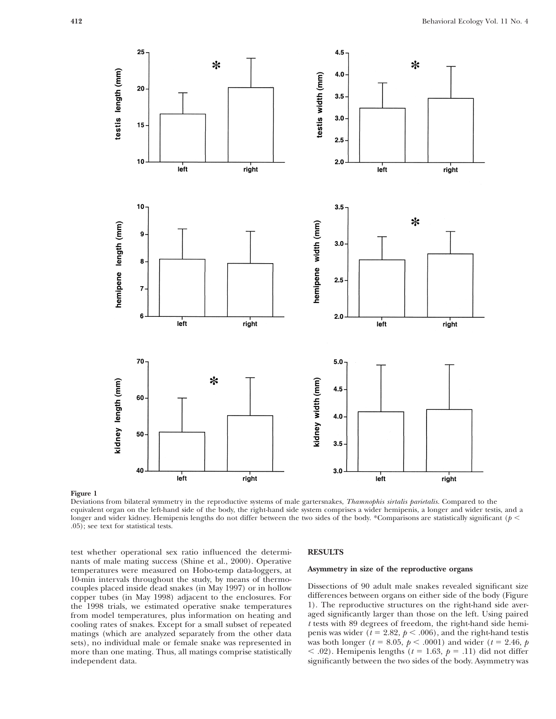

#### **Figure 1**

Deviations from bilateral symmetry in the reproductive systems of male gartersnakes, *Thamnophis sirtalis parietalis.* Compared to the equivalent organ on the left-hand side of the body, the right-hand side system comprises a wider hemipenis, a longer and wider testis, and a longer and wider kidney. Hemipenis lengths do not differ between the two sides of the body. \*Comparisons are statistically significant (*p* - .05); see text for statistical tests.

test whether operational sex ratio influenced the determinants of male mating success (Shine et al., 2000). Operative temperatures were measured on Hobo-temp data-loggers, at 10-min intervals throughout the study, by means of thermocouples placed inside dead snakes (in May 1997) or in hollow copper tubes (in May 1998) adjacent to the enclosures. For the 1998 trials, we estimated operative snake temperatures from model temperatures, plus information on heating and cooling rates of snakes. Except for a small subset of repeated matings (which are analyzed separately from the other data sets), no individual male or female snake was represented in more than one mating. Thus, all matings comprise statistically independent data.

#### **RESULTS**

## **Asymmetry in size of the reproductive organs**

Dissections of 90 adult male snakes revealed significant size differences between organs on either side of the body (Figure 1). The reproductive structures on the right-hand side averaged significantly larger than those on the left. Using paired *t* tests with 89 degrees of freedom, the right-hand side hemipenis was wider ( $t = 2.82$ ,  $p < .006$ ), and the right-hand testis was both longer ( $t = 8.05, p < .0001$ ) and wider ( $t = 2.46, p$  $<$  .02). Hemipenis lengths ( $t = 1.63$ ,  $p = .11$ ) did not differ significantly between the two sides of the body. Asymmetry was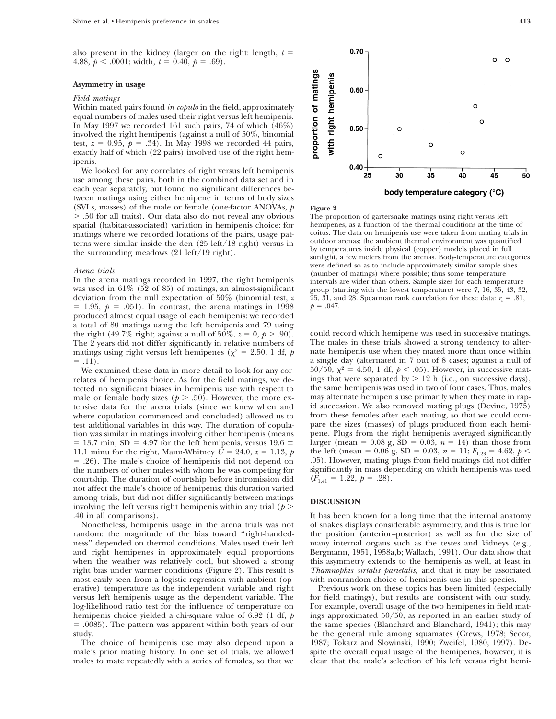also present in the kidney (larger on the right: length,  $t =$ 4.88,  $p < .0001$ ; width,  $t = 0.40$ ,  $p = .69$ ).

#### **Asymmetry in usage**

#### *Field matings*

Within mated pairs found *in copulo* in the field, approximately equal numbers of males used their right versus left hemipenis. In May 1997 we recorded 161 such pairs, 74 of which (46%) involved the right hemipenis (against a null of 50%, binomial test,  $z = 0.95$ ,  $p = .34$ ). In May 1998 we recorded 44 pairs, exactly half of which (22 pairs) involved use of the right hemipenis.

We looked for any correlates of right versus left hemipenis use among these pairs, both in the combined data set and in each year separately, but found no significant differences between matings using either hemipene in terms of body sizes (SVLs, masses) of the male or female (one-factor ANOVAs, *p* .50 for all traits). Our data also do not reveal any obvious spatial (habitat-associated) variation in hemipenis choice: for matings where we recorded locations of the pairs, usage patterns were similar inside the den (25 left/18 right) versus in the surrounding meadows (21 left/19 right).

#### *Arena trials*

In the arena matings recorded in 1997, the right hemipenis was used in 61% (52 of 85) of matings, an almost-significant deviation from the null expectation of 50% (binomial test, *z*  $= 1.95, p = .051$ . In contrast, the arena matings in 1998 produced almost equal usage of each hemipenis: we recorded a total of 80 matings using the left hemipenis and 79 using the right (49.7% right; against a null of 50%,  $z = 0$ ,  $p > .90$ ). The 2 years did not differ significantly in relative numbers of matings using right versus left hemipenes ( $\chi^2$  = 2.50, 1 df, *p*  $= .11$ .

We examined these data in more detail to look for any correlates of hemipenis choice. As for the field matings, we detected no significant biases in hemipenis use with respect to male or female body sizes ( $p > .50$ ). However, the more extensive data for the arena trials (since we knew when and where copulation commenced and concluded) allowed us to test additional variables in this way. The duration of copulation was similar in matings involving either hemipenis (means  $= 13.7$  min, SD  $= 4.97$  for the left hemipenis, versus 19.6  $\pm$ 11.1 minu for the right, Mann-Whitney  $U = 24.0$ ,  $z = 1.13$ ,  $p$  .26). The male's choice of hemipenis did not depend on the numbers of other males with whom he was competing for courtship. The duration of courtship before intromission did not affect the male's choice of hemipenis; this duration varied among trials, but did not differ significantly between matings involving the left versus right hemipenis within any trial  $(p >$ .40 in all comparisons).

Nonetheless, hemipenis usage in the arena trials was not random: the magnitude of the bias toward ''right-handedness'' depended on thermal conditions. Males used their left and right hemipenes in approximately equal proportions when the weather was relatively cool, but showed a strong right bias under warmer conditions (Figure 2). This result is most easily seen from a logistic regression with ambient (operative) temperature as the independent variable and right versus left hemipenis usage as the dependent variable. The log-likelihood ratio test for the influence of temperature on hemipenis choice yielded a chi-square value of 6.92 (1 df, *p* .0085). The pattern was apparent within both years of our study.

The choice of hemipenis use may also depend upon a male's prior mating history. In one set of trials, we allowed males to mate repeatedly with a series of females, so that we



### **Figure 2**

The proportion of gartersnake matings using right versus left hemipenes, as a function of the thermal conditions at the time of coitus. The data on hemipenis use were taken from mating trials in outdoor arenas; the ambient thermal environment was quantified by temperatures inside physical (copper) models placed in full sunlight, a few meters from the arenas. Body-temperature categories were defined so as to include approximately similar sample sizes (number of matings) where possible; thus some temperature intervals are wider than others. Sample sizes for each temperature group (starting with the lowest temperature) were 7, 16, 35, 43, 32, 25, 31, and 28. Spearman rank correlation for these data:  $r_s = .81$ ,  $p = .047$ .

could record which hemipene was used in successive matings. The males in these trials showed a strong tendency to alternate hemipenis use when they mated more than once within a single day (alternated in 7 out of 8 cases; against a null of 50/50,  $\chi^2 = 4.50$ , 1 df,  $p < .05$ ). However, in successive matings that were separated by  $> 12$  h (i.e., on successive days), the same hemipenis was used in two of four cases. Thus, males may alternate hemipenis use primarily when they mate in rapid succession. We also removed mating plugs (Devine, 1975) from these females after each mating, so that we could compare the sizes (masses) of plugs produced from each hemipene. Plugs from the right hemipenis averaged significantly larger (mean =  $0.08$  g, SD =  $0.03$ ,  $n = 14$ ) than those from the left (mean = 0.06 g, SD = 0.03,  $n = 11$ ;  $F_{1,23} = 4.62$ ,  $p <$ .05). However, mating plugs from field matings did not differ significantly in mass depending on which hemipenis was used  $(F_{1,41} = 1.22, p = .28).$ 

## **DISCUSSION**

It has been known for a long time that the internal anatomy of snakes displays considerable asymmetry, and this is true for the position (anterior–posterior) as well as for the size of many internal organs such as the testes and kidneys (e.g., Bergmann, 1951, 1958a,b; Wallach, 1991). Our data show that this asymmetry extends to the hemipenis as well, at least in *Thamnophis sirtalis parietalis,* and that it may be associated with nonrandom choice of hemipenis use in this species.

Previous work on these topics has been limited (especially for field matings), but results are consistent with our study. For example, overall usage of the two hemipenes in field matings approximated 50/50, as reported in an earlier study of the same species (Blanchard and Blanchard, 1941); this may be the general rule among squamates (Crews, 1978; Secor, 1987; Tokarz and Slowinski, 1990; Zweifel, 1980, 1997). Despite the overall equal usage of the hemipenes, however, it is clear that the male's selection of his left versus right hemi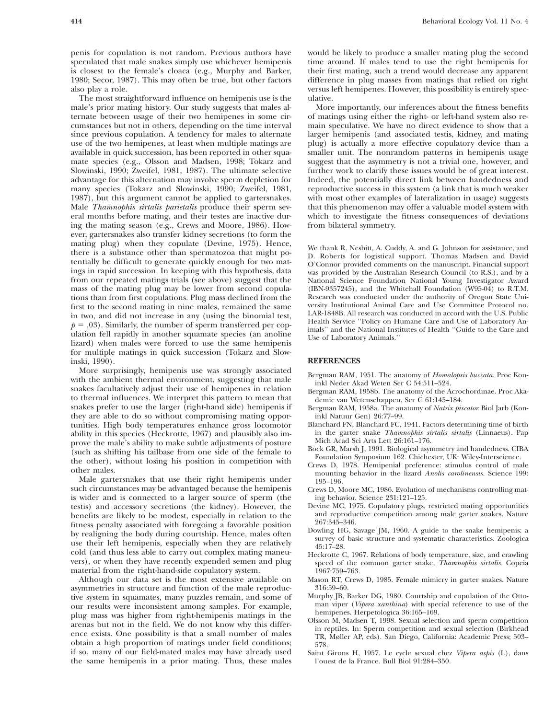penis for copulation is not random. Previous authors have speculated that male snakes simply use whichever hemipenis is closest to the female's cloaca (e.g., Murphy and Barker, 1980; Secor, 1987). This may often be true, but other factors also play a role.

The most straightforward influence on hemipenis use is the male's prior mating history. Our study suggests that males alternate between usage of their two hemipenes in some circumstances but not in others, depending on the time interval since previous copulation. A tendency for males to alternate use of the two hemipenes, at least when multiple matings are available in quick succession, has been reported in other squamate species (e.g., Olsson and Madsen, 1998; Tokarz and Slowinski, 1990; Zweifel, 1981, 1987). The ultimate selective advantage for this alternation may involve sperm depletion for many species (Tokarz and Slowinski, 1990; Zweifel, 1981, 1987), but this argument cannot be applied to gartersnakes. Male *Thamnophis sirtalis parietalis* produce their sperm several months before mating, and their testes are inactive during the mating season (e.g., Crews and Moore, 1986). However, gartersnakes also transfer kidney secretions (to form the mating plug) when they copulate (Devine, 1975). Hence, there is a substance other than spermatozoa that might potentially be difficult to generate quickly enough for two matings in rapid succession. In keeping with this hypothesis, data from our repeated matings trials (see above) suggest that the mass of the mating plug may be lower from second copulations than from first copulations. Plug mass declined from the first to the second mating in nine males, remained the same in two, and did not increase in any (using the binomial test,  $p = .03$ ). Similarly, the number of sperm transferred per copulation fell rapidly in another squamate species (an anoline lizard) when males were forced to use the same hemipenis for multiple matings in quick succession (Tokarz and Slowinski, 1990).

More surprisingly, hemipenis use was strongly associated with the ambient thermal environment, suggesting that male snakes facultatively adjust their use of hemipenes in relation to thermal influences. We interpret this pattern to mean that snakes prefer to use the larger (right-hand side) hemipenis if they are able to do so without compromising mating opportunities. High body temperatures enhance gross locomotor ability in this species (Heckrotte, 1967) and plausibly also improve the male's ability to make subtle adjustments of posture (such as shifting his tailbase from one side of the female to the other), without losing his position in competition with other males.

Male gartersnakes that use their right hemipenis under such circumstances may be advantaged because the hemipenis is wider and is connected to a larger source of sperm (the testis) and accessory secretions (the kidney). However, the benefits are likely to be modest, especially in relation to the fitness penalty associated with foregoing a favorable position by realigning the body during courtship. Hence, males often use their left hemipenis, especially when they are relatively cold (and thus less able to carry out complex mating maneuvers), or when they have recently expended semen and plug material from the right-hand-side copulatory system.

Although our data set is the most extensive available on asymmetries in structure and function of the male reproductive system in squamates, many puzzles remain, and some of our results were inconsistent among samples. For example, plug mass was higher from right-hemipenis matings in the arenas but not in the field. We do not know why this difference exists. One possibility is that a small number of males obtain a high proportion of matings under field conditions; if so, many of our field-mated males may have already used the same hemipenis in a prior mating. Thus, these males

would be likely to produce a smaller mating plug the second time around. If males tend to use the right hemipenis for their first mating, such a trend would decrease any apparent difference in plug masses from matings that relied on right versus left hemipenes. However, this possibility is entirely speculative.

More importantly, our inferences about the fitness benefits of matings using either the right- or left-hand system also remain speculative. We have no direct evidence to show that a larger hemipenis (and associated testis, kidney, and mating plug) is actually a more effective copulatory device than a smaller unit. The nonrandom patterns in hemipenis usage suggest that the asymmetry is not a trivial one, however, and further work to clarify these issues would be of great interest. Indeed, the potentially direct link between handedness and reproductive success in this system (a link that is much weaker with most other examples of lateralization in usage) suggests that this phenomenon may offer a valuable model system with which to investigate the fitness consequences of deviations from bilateral symmetry.

We thank R. Nesbitt, A. Cuddy, A. and G. Johnson for assistance, and D. Roberts for logistical support. Thomas Madsen and David O'Connor provided comments on the manuscript. Financial support was provided by the Australian Research Council (to R.S.), and by a National Science Foundation National Young Investigator Award (IBN-9357245), and the Whitehall Foundation (W95-04) to R.T.M. Research was conducted under the authority of Oregon State University Institutional Animal Care and Use Committee Protocol no. LAR-1848B. All research was conducted in accord with the U.S. Public Health Service ''Policy on Humane Care and Use of Laboratory Animals'' and the National Institutes of Health ''Guide to the Care and Use of Laboratory Animals.''

#### **REFERENCES**

- Bergman RAM, 1951. The anatomy of *Homalopsis buccata.* Proc Koninkl Neder Akad Weten Ser C 54:511–524.
- Bergman RAM, 1958b. The anatomy of the Acrochordinae. Proc Akademic van Wetenschappen, Ser C 61:145–184.
- Bergman RAM, 1958a. The anatomy of *Natrix piscator.* Biol Jarb (Koninkl Natuur Gen) 26:77–99.
- Blanchard FN, Blanchard FC, 1941. Factors determining time of birth in the garter snake *Thamnophis sirtalis sirtalis* (Linnaeus). Pap Mich Acad Sci Arts Lett 26:161–176.
- Bock GR, Marsh J, 1991. Biological asymmetry and handedness. CIBA Foundation Symposium 162. Chichester, UK: Wiley-Interscience.
- Crews D, 1978. Hemipenial preference: stimulus control of male mounting behavior in the lizard *Anolis carolinensis.* Science 199: 195–196.
- Crews D, Moore MC, 1986. Evolution of mechanisms controlling mating behavior. Science 231:121–125.
- Devine MC, 1975. Copulatory plugs, restricted mating opportunities and reproductive competition among male garter snakes. Nature 267:345–346.
- Dowling HG, Savage JM, 1960. A guide to the snake hemipenis: a survey of basic structure and systematic characteristics. Zoologica 45:17–28.
- Heckrotte C, 1967. Relations of body temperature, size, and crawling speed of the common garter snake, *Thamnophis sirtalis.* Copeia 1967:759–763.
- Mason RT, Crews D, 1985. Female mimicry in garter snakes. Nature 316:59–60.
- Murphy JB, Barker DG, 1980. Courtship and copulation of the Ottoman viper (*Vipera xanthina*) with special reference to use of the hemipenes. Herpetologica 36:165–169.
- Olsson M, Madsen T, 1998. Sexual selection and sperm competition in reptiles. In: Sperm competition and sexual selection (Birkhead TR, Møller AP, eds). San Diego, California: Academic Press; 503– 578.
- Saint Girons H, 1957. Le cycle sexual chez *Vipera aspis* (L), dans l'ouest de la France. Bull Biol 91:284–350.